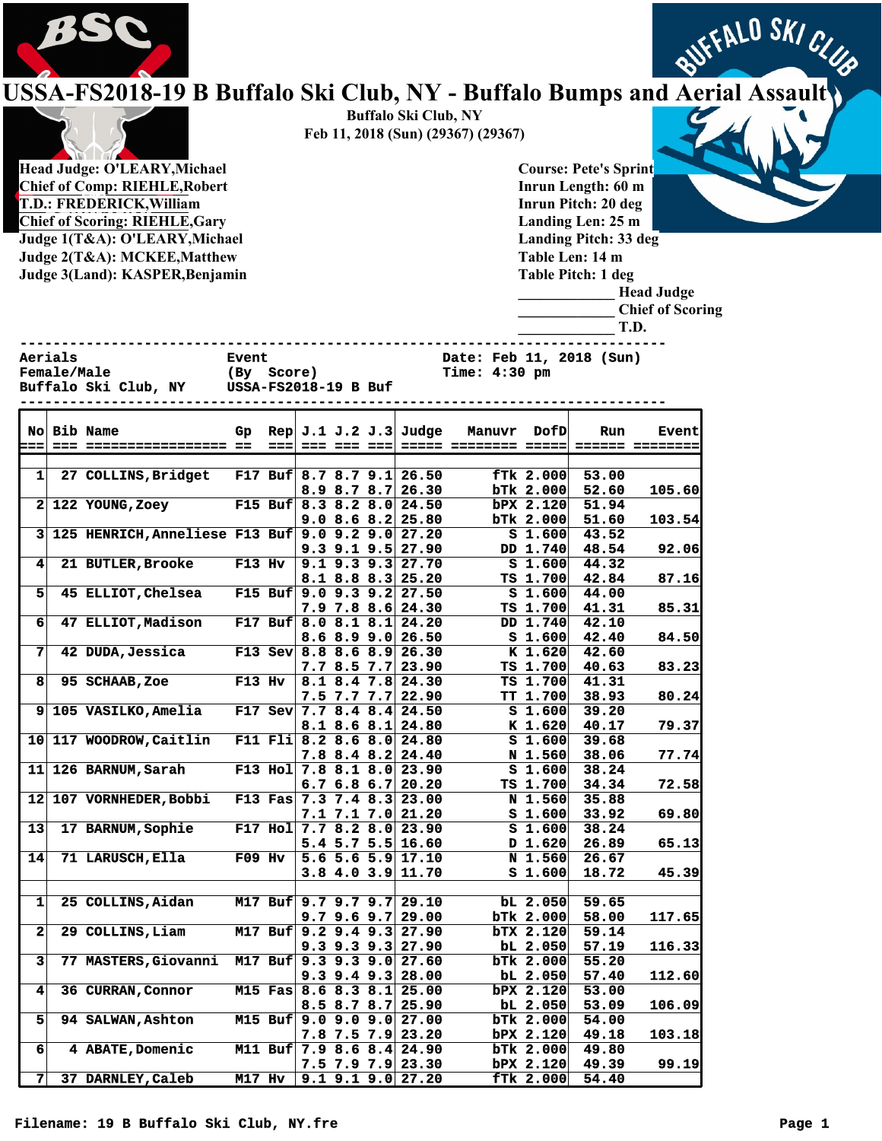

## FALO SKI CLUB **USSA-FS2018-19 B Buffalo Ski Club, NY - Buffalo Bumps and Aerial Assault**



**Chief of Comp: RIEHLE,Robert T.D.: FREDERICK,William Chief of Scoring: RIEHLE,Gary Judge 1(T&A): O'LEARY,Michael Judge 2(T&A): MCKEE,Matthew Judge 3(Land): KASPER,Benjamin** 

**Buffalo Ski Club, NY Feb 11, 2018 (Sun) (29367) (29367)**

> **Course: Pete's Sprint Inrun Length: 60 m Inrun Pitch: 20 deg Landing Len: 25 m Landing Pitch: 33 deg Table Len: 14 m Table Pitch: 1 deg**



**------------------------------------------------------------------------------**

**Female/Male** (By Score) Time: 4:30 pm<br>Buffalo Ski Club, NY USSA-FS2018-19 B Buf **Buffalo Ski Club, NY USSA-FS2018-19 B Buf** 

**Aerials Event Date: Feb 11, 2018 (Sun)**

|                      |  | No Bib Name                                      | Gp       |          |                            |                   |  | $\text{Rep}$ J.1 J.2 J.3 Judge                         | Manuvr | <b>DofD</b>                          | Run            | <b>Event</b> |
|----------------------|--|--------------------------------------------------|----------|----------|----------------------------|-------------------|--|--------------------------------------------------------|--------|--------------------------------------|----------------|--------------|
| æ                    |  |                                                  |          |          | --- --- --- --- <b>---</b> |                   |  |                                                        |        |                                      |                |              |
|                      |  |                                                  |          |          |                            |                   |  | F17 Buf 8.7 8.7 9.1 26.50                              |        |                                      |                |              |
| 1                    |  | <b>27 COLLINS, Bridget</b>                       |          |          |                            |                   |  |                                                        |        | fTk 2.000                            | 53.00          |              |
| $\mathbf{2}$         |  | 122 YOUNG, Zoey                                  |          |          |                            |                   |  | $8.9$ $8.7$ $8.7$ $26.30$<br>F15 Buf 8.3 8.2 8.0 24.50 |        | <b>bTk 2.000</b><br><b>bPX 2.120</b> | 52.60<br>51.94 | 105.60       |
|                      |  |                                                  |          |          |                            | 9.08.68.2         |  | 25.80                                                  |        | $b$ Tk 2.000                         | 51.60          | 103.54       |
| 3                    |  | 125 HENRICH, Anneliese F13 Buf 9.0 9.2 9.0 27.20 |          |          |                            |                   |  |                                                        |        | S <sub>1.600</sub>                   | 43.52          |              |
|                      |  |                                                  |          |          |                            |                   |  | $9.3$ $9.1$ $9.5$ $27.90$                              |        | DD 1.740                             | 48.54          | 92.06        |
| $\blacktriangleleft$ |  | <b>21 BUTLER, Brooke</b>                         | $F13$ Hv |          |                            |                   |  | $9.1$ $9.3$ $9.3$ $27.70$                              |        | S <sub>1.600</sub>                   | 44.32          |              |
|                      |  |                                                  |          |          |                            |                   |  | $8.1$ $8.8$ $8.3$ $25.20$                              |        | TS 1.700                             | 42.84          | 87.16        |
| 5                    |  | 45 ELLIOT, Chelsea                               |          |          |                            |                   |  | F15 Buf $9.0$ 9.3 9.2 27.50                            |        | S <sub>1.600</sub>                   | 44.00          |              |
|                      |  |                                                  |          |          |                            |                   |  | $7.9$ $7.8$ $8.6$ $24.30$                              |        | TS 1.700                             | 41.31          | 85.31        |
| 6                    |  | 47 ELLIOT, Madison                               |          |          | F17 Buf $8.0 8.1 8.1$      |                   |  | 24.20                                                  |        | DD 1.740                             | 42.10          |              |
|                      |  |                                                  |          |          |                            |                   |  | 8.68.99.026.50                                         |        | S <sub>1.600</sub>                   | 42.40          | 84.50        |
| 7                    |  | 42 DUDA, Jessica                                 |          |          |                            |                   |  | F13 Sev 8.8 8.6 8.9 26.30                              |        | K 1.620                              | 42.60          |              |
|                      |  |                                                  |          |          |                            | 7.78.57.7         |  | 23.90                                                  |        | TS 1.700                             | 40.63          | 83.23        |
| 8                    |  | 95 SCHAAB, Zoe                                   | $F13$ Hv |          |                            |                   |  | 8.1 8.4 7.8 24.30                                      |        | TS 1.700                             | 41.31          |              |
|                      |  |                                                  |          |          |                            | $7.5$ $7.7$ $7.7$ |  | 22.90                                                  |        | TT 1.700                             | 38.93          | 80.24        |
| 9                    |  | 105 VASILKO, Amelia                              |          |          |                            |                   |  | F17 Sev $7.7$ 8.4 8.4 24.50                            |        | S <sub>1.600</sub>                   | 39.20          |              |
|                      |  |                                                  |          |          |                            | $8.1$ $8.6$ $8.1$ |  | 24.80                                                  |        | $K$ 1.620                            | 40.17          | 79.37        |
| 10                   |  | 117 WOODROW, Caitlin                             |          |          |                            |                   |  | F11 Fli 8.2 8.6 8.0 24.80                              |        | S <sub>1.600</sub>                   | 39.68          |              |
|                      |  |                                                  |          |          |                            |                   |  | $7.8$ 8.4 8.2 24.40                                    |        | N 1.560                              | 38.06          | 77.74        |
| 11                   |  | 126 BARNUM, Sarah                                |          |          |                            |                   |  | F13 Hol $7.8$ 8.1 8.0 23.90                            |        | S <sub>1.600</sub>                   | 38.24          |              |
|                      |  |                                                  |          |          |                            | 6.76.86.7         |  | 20.20                                                  |        | TS 1.700                             | 34.34          | 72.58        |
| 12                   |  | 107 VORNHEDER, Bobbi                             |          |          |                            |                   |  | F13 Fas $7.3$ 7.4 8.3 23.00                            |        | N 1.560                              | 35.88          |              |
|                      |  |                                                  |          |          |                            |                   |  | $7.1$ $7.1$ $7.0$ $21.20$                              |        | S <sub>1.600</sub>                   | 33.92          | 69.80        |
| 13                   |  | 17 BARNUM, Sophie                                |          |          |                            |                   |  | F17 Hol $7.7$ 8.2 8.0 23.90                            |        | 51.600                               | 38.24          |              |
|                      |  |                                                  |          |          |                            |                   |  | $5.4$ 5.7 5.5 16.60                                    |        | D 1.620                              | 26.89          | 65.13        |
| $\overline{14}$      |  | 71 LARUSCH, Ella                                 | $F09$ Hv |          |                            |                   |  | $5.6$ 5.6 5.9 17.10                                    |        | N 1.560                              | 26.67          |              |
|                      |  |                                                  |          |          |                            |                   |  | $3.8$ 4.0 3.9 11.70                                    |        | S <sub>1.600</sub>                   | 18.72          | 45.39        |
|                      |  |                                                  |          |          |                            |                   |  |                                                        |        |                                      |                |              |
| $\mathbf{1}$         |  | 25 COLLINS, Aidan                                |          |          |                            |                   |  | M17 Buf 9.7 9.7 9.7 29.10                              |        | $bL$ 2.050                           | 59.65          |              |
|                      |  |                                                  |          |          |                            |                   |  | $9.7$ 9.6 9.7 29.00                                    |        | $b$ Tk 2.000                         | 58.00          | 117.65       |
| 2 <sub>2</sub>       |  | 29 COLLINS, Liam                                 |          |          |                            |                   |  | M17 Buf 9.2 9.4 9.3 27.90                              |        | <b>bTX 2.120</b>                     | 59.14          |              |
|                      |  |                                                  |          |          |                            | $9.3$ $9.3$ $9.3$ |  | 27.90                                                  |        | $bL$ 2.050                           | 57.19          | 116.33       |
| 3                    |  | 77 MASTERS, Giovanni                             |          |          |                            |                   |  | M17 Buf 9.3 9.3 9.0 27.60                              |        | bTk 2.000                            | 55.20          |              |
|                      |  |                                                  |          |          |                            | $9.3$ 9.4 9.3     |  | 28.00                                                  |        | $bL$ 2.050                           | 57.40          | 112.60       |
| $\vert$ 4            |  | 36 CURRAN, Connor                                |          |          |                            |                   |  | M15 Fas 8.6 8.3 8.1 25.00                              |        | bPX 2.120                            | 53.00          |              |
|                      |  |                                                  |          |          |                            |                   |  | 8.5 8.7 8.7 25.90                                      |        | $bL$ 2.050                           | 53.09          | 106.09       |
| 51                   |  | <b>94 SALWAN, Ashton</b>                         |          |          | M15 Buf $9.0$ 9.0 9.0      |                   |  | 27.00                                                  |        | <b>bTk 2.000</b>                     | 54.00          |              |
|                      |  |                                                  |          |          |                            |                   |  | $7.8$ 7.5 7.9 23.20                                    |        | bPX 2.120                            | 49.18          | 103.18       |
| 6 <sup>1</sup>       |  | 4 ABATE, Domenic                                 |          |          |                            |                   |  | M11 Buf 7.9 8.6 8.4 24.90                              |        | bTk 2.000                            | 49.80          |              |
|                      |  |                                                  |          |          |                            |                   |  | 7.5 7.9 7.9 23.30                                      |        | bPX 2.120                            | 49.39          | 99.19        |
| $\overline{7}$       |  | 37 DARNLEY, Caleb                                |          | $M17$ Hv |                            |                   |  | $9.1$ $9.1$ $9.0$ $27.20$                              |        | fTk 2.000                            | 54.40          |              |